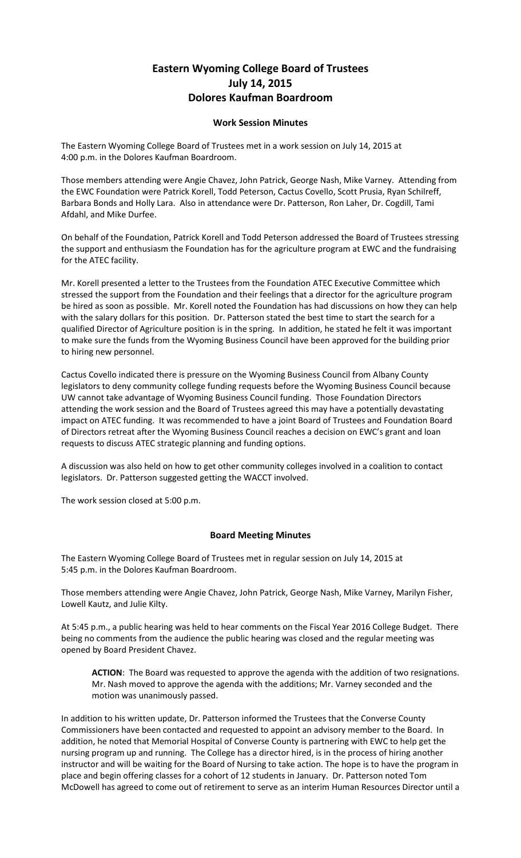## **Eastern Wyoming College Board of Trustees July 14, 2015 Dolores Kaufman Boardroom**

## **Work Session Minutes**

The Eastern Wyoming College Board of Trustees met in a work session on July 14, 2015 at 4:00 p.m. in the Dolores Kaufman Boardroom.

Those members attending were Angie Chavez, John Patrick, George Nash, Mike Varney. Attending from the EWC Foundation were Patrick Korell, Todd Peterson, Cactus Covello, Scott Prusia, Ryan Schilreff, Barbara Bonds and Holly Lara. Also in attendance were Dr. Patterson, Ron Laher, Dr. Cogdill, Tami Afdahl, and Mike Durfee.

On behalf of the Foundation, Patrick Korell and Todd Peterson addressed the Board of Trustees stressing the support and enthusiasm the Foundation has for the agriculture program at EWC and the fundraising for the ATEC facility.

Mr. Korell presented a letter to the Trustees from the Foundation ATEC Executive Committee which stressed the support from the Foundation and their feelings that a director for the agriculture program be hired as soon as possible. Mr. Korell noted the Foundation has had discussions on how they can help with the salary dollars for this position. Dr. Patterson stated the best time to start the search for a qualified Director of Agriculture position is in the spring. In addition, he stated he felt it was important to make sure the funds from the Wyoming Business Council have been approved for the building prior to hiring new personnel.

Cactus Covello indicated there is pressure on the Wyoming Business Council from Albany County legislators to deny community college funding requests before the Wyoming Business Council because UW cannot take advantage of Wyoming Business Council funding. Those Foundation Directors attending the work session and the Board of Trustees agreed this may have a potentially devastating impact on ATEC funding. It was recommended to have a joint Board of Trustees and Foundation Board of Directors retreat after the Wyoming Business Council reaches a decision on EWC's grant and loan requests to discuss ATEC strategic planning and funding options.

A discussion was also held on how to get other community colleges involved in a coalition to contact legislators. Dr. Patterson suggested getting the WACCT involved.

The work session closed at 5:00 p.m.

## **Board Meeting Minutes**

The Eastern Wyoming College Board of Trustees met in regular session on July 14, 2015 at 5:45 p.m. in the Dolores Kaufman Boardroom.

Those members attending were Angie Chavez, John Patrick, George Nash, Mike Varney, Marilyn Fisher, Lowell Kautz, and Julie Kilty.

At 5:45 p.m., a public hearing was held to hear comments on the Fiscal Year 2016 College Budget. There being no comments from the audience the public hearing was closed and the regular meeting was opened by Board President Chavez.

**ACTION**: The Board was requested to approve the agenda with the addition of two resignations. Mr. Nash moved to approve the agenda with the additions; Mr. Varney seconded and the motion was unanimously passed.

In addition to his written update, Dr. Patterson informed the Trustees that the Converse County Commissioners have been contacted and requested to appoint an advisory member to the Board. In addition, he noted that Memorial Hospital of Converse County is partnering with EWC to help get the nursing program up and running. The College has a director hired, is in the process of hiring another instructor and will be waiting for the Board of Nursing to take action. The hope is to have the program in place and begin offering classes for a cohort of 12 students in January. Dr. Patterson noted Tom McDowell has agreed to come out of retirement to serve as an interim Human Resources Director until a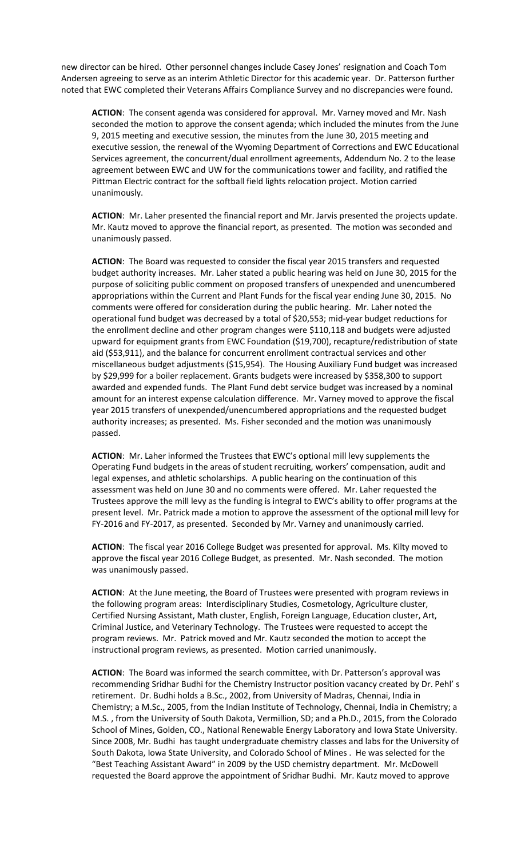new director can be hired. Other personnel changes include Casey Jones' resignation and Coach Tom Andersen agreeing to serve as an interim Athletic Director for this academic year. Dr. Patterson further noted that EWC completed their Veterans Affairs Compliance Survey and no discrepancies were found.

**ACTION**: The consent agenda was considered for approval. Mr. Varney moved and Mr. Nash seconded the motion to approve the consent agenda; which included the minutes from the June 9, 2015 meeting and executive session, the minutes from the June 30, 2015 meeting and executive session, the renewal of the Wyoming Department of Corrections and EWC Educational Services agreement, the concurrent/dual enrollment agreements, Addendum No. 2 to the lease agreement between EWC and UW for the communications tower and facility, and ratified the Pittman Electric contract for the softball field lights relocation project. Motion carried unanimously.

**ACTION**: Mr. Laher presented the financial report and Mr. Jarvis presented the projects update. Mr. Kautz moved to approve the financial report, as presented. The motion was seconded and unanimously passed.

**ACTION**: The Board was requested to consider the fiscal year 2015 transfers and requested budget authority increases. Mr. Laher stated a public hearing was held on June 30, 2015 for the purpose of soliciting public comment on proposed transfers of unexpended and unencumbered appropriations within the Current and Plant Funds for the fiscal year ending June 30, 2015. No comments were offered for consideration during the public hearing. Mr. Laher noted the operational fund budget was decreased by a total of \$20,553; mid-year budget reductions for the enrollment decline and other program changes were \$110,118 and budgets were adjusted upward for equipment grants from EWC Foundation (\$19,700), recapture/redistribution of state aid (\$53,911), and the balance for concurrent enrollment contractual services and other miscellaneous budget adjustments (\$15,954). The Housing Auxiliary Fund budget was increased by \$29,999 for a boiler replacement. Grants budgets were increased by \$358,300 to support awarded and expended funds. The Plant Fund debt service budget was increased by a nominal amount for an interest expense calculation difference. Mr. Varney moved to approve the fiscal year 2015 transfers of unexpended/unencumbered appropriations and the requested budget authority increases; as presented. Ms. Fisher seconded and the motion was unanimously passed.

**ACTION**: Mr. Laher informed the Trustees that EWC's optional mill levy supplements the Operating Fund budgets in the areas of student recruiting, workers' compensation, audit and legal expenses, and athletic scholarships. A public hearing on the continuation of this assessment was held on June 30 and no comments were offered. Mr. Laher requested the Trustees approve the mill levy as the funding is integral to EWC's ability to offer programs at the present level. Mr. Patrick made a motion to approve the assessment of the optional mill levy for FY-2016 and FY-2017, as presented. Seconded by Mr. Varney and unanimously carried.

**ACTION**: The fiscal year 2016 College Budget was presented for approval. Ms. Kilty moved to approve the fiscal year 2016 College Budget, as presented. Mr. Nash seconded. The motion was unanimously passed.

**ACTION**: At the June meeting, the Board of Trustees were presented with program reviews in the following program areas: Interdisciplinary Studies, Cosmetology, Agriculture cluster, Certified Nursing Assistant, Math cluster, English, Foreign Language, Education cluster, Art, Criminal Justice, and Veterinary Technology. The Trustees were requested to accept the program reviews. Mr. Patrick moved and Mr. Kautz seconded the motion to accept the instructional program reviews, as presented. Motion carried unanimously.

**ACTION**: The Board was informed the search committee, with Dr. Patterson's approval was recommending Sridhar Budhi for the Chemistry Instructor position vacancy created by Dr. Pehl' s retirement. Dr. Budhi holds a B.Sc., 2002, from University of Madras, Chennai, India in Chemistry; a M.Sc., 2005, from the Indian Institute of Technology, Chennai, India in Chemistry; a M.S. , from the University of South Dakota, Vermillion, SD; and a Ph.D., 2015, from the Colorado School of Mines, Golden, CO., National Renewable Energy Laboratory and Iowa State University. Since 2008, Mr. Budhi has taught undergraduate chemistry classes and labs for the University of South Dakota, Iowa State University, and Colorado School of Mines . He was selected for the "Best Teaching Assistant Award" in 2009 by the USD chemistry department. Mr. McDowell requested the Board approve the appointment of Sridhar Budhi. Mr. Kautz moved to approve